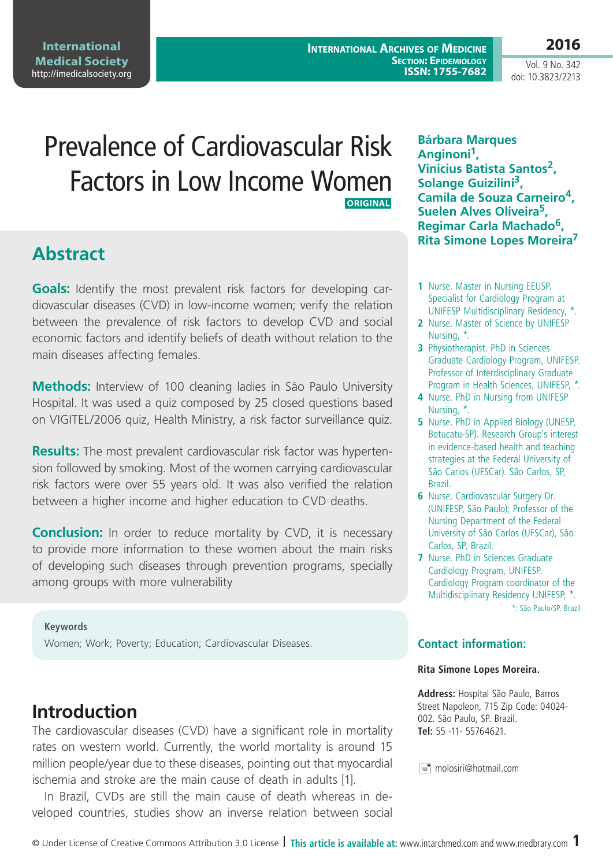**International Archives of Medicine Section: Epidemiology ISSN: 1755-7682** **2016**

Vol. 9 No. 342 doi: 10.3823/2213

# Prevalence of Cardiovascular Risk Factors in Low Income Women **ORIGINAL**

## **Abstract**

**Goals:** Identify the most prevalent risk factors for developing cardiovascular diseases (CVD) in low-income women; verify the relation between the prevalence of risk factors to develop CVD and social economic factors and identify beliefs of death without relation to the main diseases affecting females.

**Methods:** Interview of 100 cleaning ladies in São Paulo University Hospital. It was used a quiz composed by 25 closed questions based on VIGITEL/2006 quiz, Health Ministry, a risk factor surveillance quiz.

**Results:** The most prevalent cardiovascular risk factor was hypertension followed by smoking. Most of the women carrying cardiovascular risk factors were over 55 years old. It was also verified the relation between a higher income and higher education to CVD deaths.

**Conclusion:** In order to reduce mortality by CVD, it is necessary to provide more information to these women about the main risks of developing such diseases through prevention programs, specially among groups with more vulnerability

#### **Keywords**

Women; Work; Poverty; Education; Cardiovascular Diseases.

### **Introduction**

The cardiovascular diseases (CVD) have a significant role in mortality rates on western world. Currently, the world mortality is around 15 million people/year due to these diseases, pointing out that myocardial ischemia and stroke are the main cause of death in adults [1].

In Brazil, CVDs are still the main cause of death whereas in developed countries, studies show an inverse relation between social

**Bárbara Marques Anginoni1, Vinicius Batista Santos2, Solange Guizilini3, Camila de Souza Carneiro4, Suelen Alves Oliveira5, Regimar Carla Machado6, Rita Simone Lopes Moreira7**

- **1** Nurse. Master in Nursing EEUSP. Specialist for Cardiology Program at UNIFESP Multidisciplinary Residency, \*.
- **2** Nurse. Master of Science by UNIFESP Nursing, \*.
- **3** Physiotherapist. PhD in Sciences Graduate Cardiology Program, UNIFESP. Professor of Interdisciplinary Graduate Program in Health Sciences, UNIFESP, \*.
- **4** Nurse. PhD in Nursing from UNIFESP Nursing, \*.
- **5** Nurse. PhD in Applied Biology (UNESP, Botucatu-SP). Research Group's interest in evidence-based health and teaching strategies at the Federal University of São Carlos (UFSCar). São Carlos, SP, Brazil.
- **6** Nurse. Cardiovascular Surgery Dr. (UNIFESP, São Paulo); Professor of the Nursing Department of the Federal University of São Carlos (UFSCar), São Carlos, SP, Brazil.
- **7** Nurse. PhD in Sciences Graduate Cardiology Program, UNIFESP. Cardiology Program coordinator of the Multidisciplinary Residency UNIFESP, \*. \*: São Paulo/SP, Brazil

#### **Contact information:**

#### **Rita Simone Lopes Moreira.**

**Address:** Hospital São Paulo, Barros Street Napoleon, 715 Zip Code: 04024- 002. São Paulo, SP. Brazil. **Tel:** 55 -11- 55764621.

 $\equiv$  molosiri@hotmail.com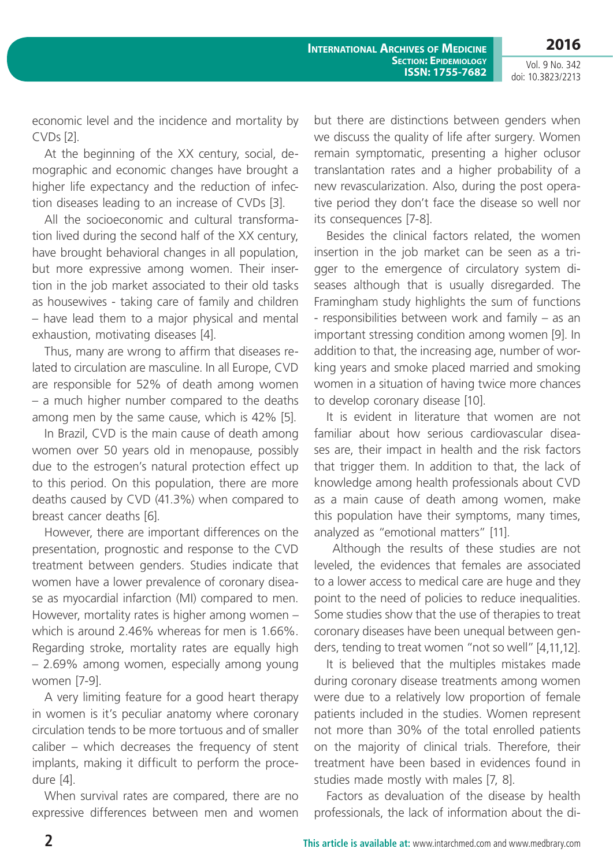economic level and the incidence and mortality by CVDs [2].

At the beginning of the XX century, social, demographic and economic changes have brought a higher life expectancy and the reduction of infection diseases leading to an increase of CVDs [3].

All the socioeconomic and cultural transformation lived during the second half of the XX century, have brought behavioral changes in all population, but more expressive among women. Their insertion in the job market associated to their old tasks as housewives - taking care of family and children – have lead them to a major physical and mental exhaustion, motivating diseases [4].

Thus, many are wrong to affirm that diseases related to circulation are masculine. In all Europe, CVD are responsible for 52% of death among women – a much higher number compared to the deaths among men by the same cause, which is 42% [5].

In Brazil, CVD is the main cause of death among women over 50 years old in menopause, possibly due to the estrogen's natural protection effect up to this period. On this population, there are more deaths caused by CVD (41.3%) when compared to breast cancer deaths [6].

However, there are important differences on the presentation, prognostic and response to the CVD treatment between genders. Studies indicate that women have a lower prevalence of coronary disease as myocardial infarction (MI) compared to men. However, mortality rates is higher among women – which is around 2.46% whereas for men is 1.66%. Regarding stroke, mortality rates are equally high – 2.69% among women, especially among young women [7-9].

A very limiting feature for a good heart therapy in women is it's peculiar anatomy where coronary circulation tends to be more tortuous and of smaller caliber – which decreases the frequency of stent implants, making it difficult to perform the procedure [4].

When survival rates are compared, there are no expressive differences between men and women

but there are distinctions between genders when we discuss the quality of life after surgery. Women remain symptomatic, presenting a higher oclusor translantation rates and a higher probability of a new revascularization. Also, during the post operative period they don't face the disease so well nor its consequences [7-8].

Besides the clinical factors related, the women insertion in the job market can be seen as a trigger to the emergence of circulatory system diseases although that is usually disregarded. The Framingham study highlights the sum of functions - responsibilities between work and family – as an important stressing condition among women [9]. In addition to that, the increasing age, number of working years and smoke placed married and smoking women in a situation of having twice more chances to develop coronary disease [10].

It is evident in literature that women are not familiar about how serious cardiovascular diseases are, their impact in health and the risk factors that trigger them. In addition to that, the lack of knowledge among health professionals about CVD as a main cause of death among women, make this population have their symptoms, many times, analyzed as "emotional matters" [11].

 Although the results of these studies are not leveled, the evidences that females are associated to a lower access to medical care are huge and they point to the need of policies to reduce inequalities. Some studies show that the use of therapies to treat coronary diseases have been unequal between genders, tending to treat women "not so well" [4,11,12].

It is believed that the multiples mistakes made during coronary disease treatments among women were due to a relatively low proportion of female patients included in the studies. Women represent not more than 30% of the total enrolled patients on the majority of clinical trials. Therefore, their treatment have been based in evidences found in studies made mostly with males [7, 8].

Factors as devaluation of the disease by health professionals, the lack of information about the di-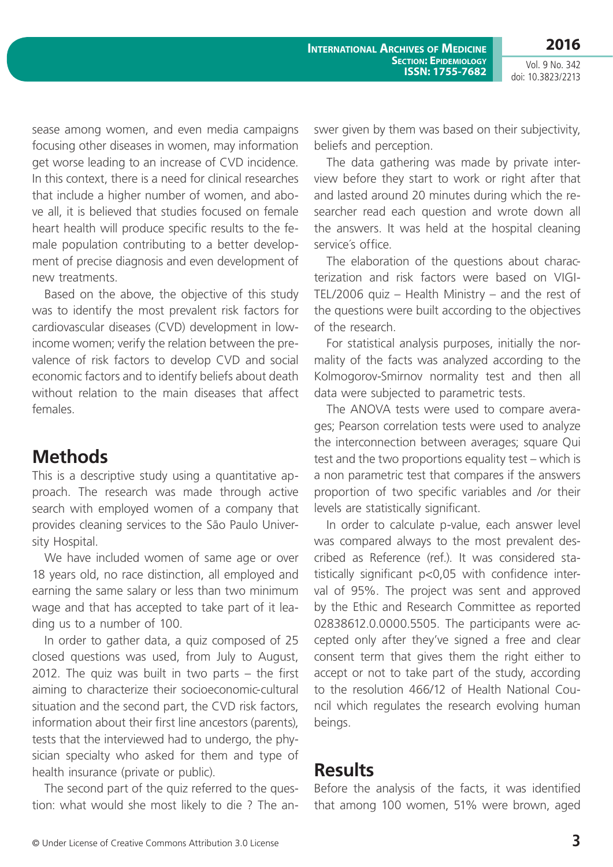sease among women, and even media campaigns focusing other diseases in women, may information get worse leading to an increase of CVD incidence. In this context, there is a need for clinical researches that include a higher number of women, and above all, it is believed that studies focused on female heart health will produce specific results to the female population contributing to a better development of precise diagnosis and even development of new treatments.

Based on the above, the objective of this study was to identify the most prevalent risk factors for cardiovascular diseases (CVD) development in lowincome women; verify the relation between the prevalence of risk factors to develop CVD and social economic factors and to identify beliefs about death without relation to the main diseases that affect females.

### **Methods**

This is a descriptive study using a quantitative approach. The research was made through active search with employed women of a company that provides cleaning services to the São Paulo University Hospital.

We have included women of same age or over 18 years old, no race distinction, all employed and earning the same salary or less than two minimum wage and that has accepted to take part of it leading us to a number of 100.

In order to gather data, a quiz composed of 25 closed questions was used, from July to August, 2012. The quiz was built in two parts – the first aiming to characterize their socioeconomic-cultural situation and the second part, the CVD risk factors, information about their first line ancestors (parents), tests that the interviewed had to undergo, the physician specialty who asked for them and type of health insurance (private or public).

The second part of the quiz referred to the question: what would she most likely to die ? The answer given by them was based on their subjectivity, beliefs and perception.

The data gathering was made by private interview before they start to work or right after that and lasted around 20 minutes during which the researcher read each question and wrote down all the answers. It was held at the hospital cleaning service´s office.

The elaboration of the questions about characterization and risk factors were based on VIGI-TEL/2006 quiz – Health Ministry – and the rest of the questions were built according to the objectives of the research.

For statistical analysis purposes, initially the normality of the facts was analyzed according to the Kolmogorov-Smirnov normality test and then all data were subjected to parametric tests.

The ANOVA tests were used to compare averages; Pearson correlation tests were used to analyze the interconnection between averages; square Qui test and the two proportions equality test – which is a non parametric test that compares if the answers proportion of two specific variables and /or their levels are statistically significant.

In order to calculate p-value, each answer level was compared always to the most prevalent described as Reference (ref.). It was considered statistically significant p<0,05 with confidence interval of 95%. The project was sent and approved by the Ethic and Research Committee as reported 02838612.0.0000.5505. The participants were accepted only after they've signed a free and clear consent term that gives them the right either to accept or not to take part of the study, according to the resolution 466/12 of Health National Council which regulates the research evolving human beings.

#### **Results**

Before the analysis of the facts, it was identified that among 100 women, 51% were brown, aged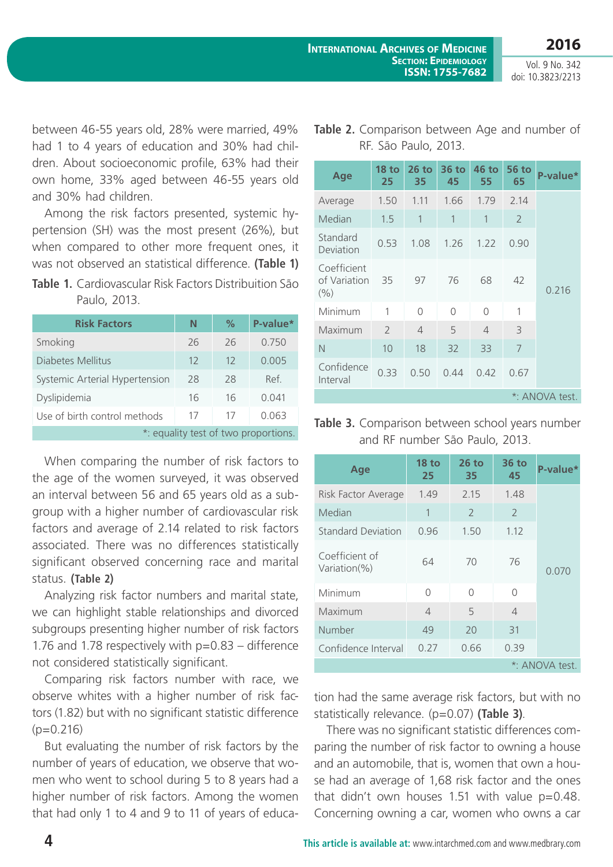RF. São Paulo, 2013.

Vol. 9 No. 342 doi: 10.3823/2213

between 46-55 years old, 28% were married, 49% had 1 to 4 years of education and 30% had children. About socioeconomic profile, 63% had their own home, 33% aged between 46-55 years old and 30% had children.

Among the risk factors presented, systemic hypertension (SH) was the most present (26%), but when compared to other more frequent ones, it was not observed an statistical difference. **(Table 1)**

**Table 1.** Cardiovascular Risk Factors Distribuition São Paulo, 2013.

| <b>Risk Factors</b>                  | N  | $\%$ | P-value* |  |
|--------------------------------------|----|------|----------|--|
| Smoking                              | 26 | 26   | 0.750    |  |
| Diabetes Mellitus                    | 12 | 12   | 0.005    |  |
| Systemic Arterial Hypertension       | 28 | 28   | Ref.     |  |
| Dyslipidemia                         | 16 | 16   | 0.041    |  |
| Use of birth control methods         | 17 | 17   | 0.063    |  |
| *: equality test of two proportions. |    |      |          |  |

When comparing the number of risk factors to the age of the women surveyed, it was observed an interval between 56 and 65 years old as a subgroup with a higher number of cardiovascular risk factors and average of 2.14 related to risk factors associated. There was no differences statistically significant observed concerning race and marital status. **(Table 2)**

Analyzing risk factor numbers and marital state, we can highlight stable relationships and divorced subgroups presenting higher number of risk factors 1.76 and 1.78 respectively with p=0.83 – difference not considered statistically significant.

Comparing risk factors number with race, we observe whites with a higher number of risk factors (1.82) but with no significant statistic difference  $(p=0.216)$ 

But evaluating the number of risk factors by the number of years of education, we observe that women who went to school during 5 to 8 years had a higher number of risk factors. Among the women that had only 1 to 4 and 9 to 11 of years of educa-

| Age                                | <b>18 to</b><br>25       | $26$ to<br>35  | $36$ to<br>45 | 46 to<br>55    | 56 to<br>65    | P-value* |
|------------------------------------|--------------------------|----------------|---------------|----------------|----------------|----------|
| Average                            | 1.50                     | 1.11           | 1.66          | 1.79           | 2.14           |          |
| Median                             | 1.5                      | 1              | 1             | 1              | $\overline{2}$ |          |
| Standard<br>Deviation              | 0.53                     | 1.08           | 1.26          | 1.22           | 0.90           |          |
| Coefficient<br>of Variation<br>(%) | 35                       | 97             | 76            | 68             | 42             | 0.216    |
| Minimum                            | 1                        | $\Omega$       | $\bigcap$     | $\Omega$       | 1              |          |
| Maximum                            | $\overline{\phantom{a}}$ | $\overline{4}$ | 5             | $\overline{4}$ | 3              |          |
| $\mathbb N$                        | 10                       | 18             | 32            | 33             | 7              |          |
| Confidence<br>Interval             | 0.33                     | 0.50           | 0.44          | 0.42           | 0.67           |          |
| *: ANOVA test.                     |                          |                |               |                |                |          |

**Table 3.** Comparison between school years number and RF number São Paulo, 2013.

| Age                            | 18 <sub>to</sub><br>25 | $26$ to<br>35 | 36 to<br>45    | P-value* |
|--------------------------------|------------------------|---------------|----------------|----------|
| Risk Factor Average            | 1.49                   | 2.15          | 1.48           |          |
| Median                         | 1                      | $\mathcal{L}$ | $\mathcal{L}$  |          |
| <b>Standard Deviation</b>      | 0.96                   | 1.50          | 1.12           |          |
| Coefficient of<br>Variation(%) | 64                     | 70            | 76             | 0.070    |
| Minimum                        | $\Omega$               | $\bigcap$     | O              |          |
| Maximum                        | $\overline{4}$         | 5             | $\overline{4}$ |          |
| Number                         | 49                     | 20            | 31             |          |
| Confidence Interval            | 0.27                   | 0.66          | 0.39           |          |
| *: ANOVA test.                 |                        |               |                |          |

tion had the same average risk factors, but with no statistically relevance. (p=0.07) **(Table 3)**.

There was no significant statistic differences comparing the number of risk factor to owning a house and an automobile, that is, women that own a house had an average of 1,68 risk factor and the ones that didn't own houses 1.51 with value  $p=0.48$ . Concerning owning a car, women who owns a car

**Table 2.** Comparison between Age and number of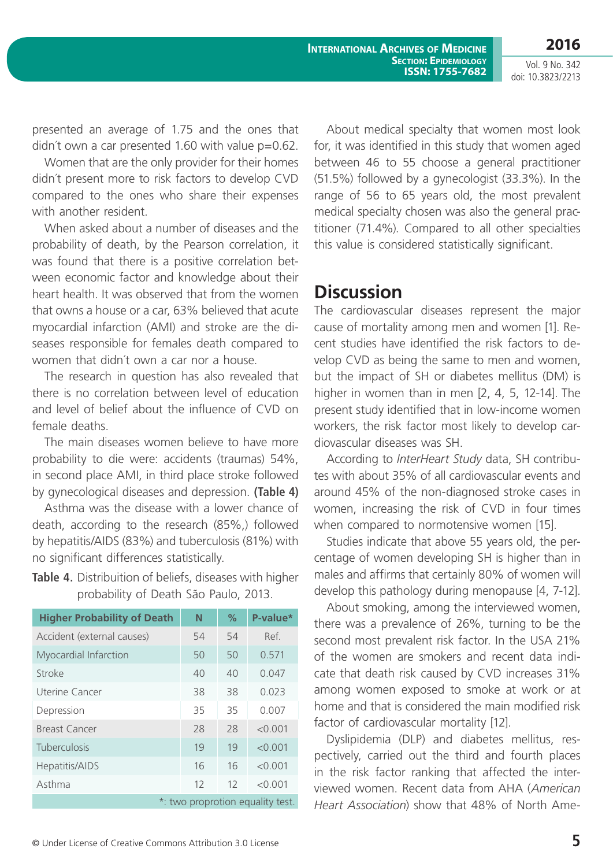**International Archives of Medicine Section: Epidemiology ISSN: 1755-7682** **2016**

Vol. 9 No. 342 doi: 10.3823/2213

presented an average of 1.75 and the ones that didn't own a car presented 1.60 with value  $p=0.62$ .

Women that are the only provider for their homes didn´t present more to risk factors to develop CVD compared to the ones who share their expenses with another resident.

When asked about a number of diseases and the probability of death, by the Pearson correlation, it was found that there is a positive correlation between economic factor and knowledge about their heart health. It was observed that from the women that owns a house or a car, 63% believed that acute myocardial infarction (AMI) and stroke are the diseases responsible for females death compared to women that didn´t own a car nor a house.

The research in question has also revealed that there is no correlation between level of education and level of belief about the influence of CVD on female deaths.

The main diseases women believe to have more probability to die were: accidents (traumas) 54%, in second place AMI, in third place stroke followed by gynecological diseases and depression. **(Table 4)**

Asthma was the disease with a lower chance of death, according to the research (85%,) followed by hepatitis/AIDS (83%) and tuberculosis (81%) with no significant differences statistically.

#### **Table 4.** Distribuition of beliefs, diseases with higher probability of Death São Paulo, 2013.

| <b>Higher Probability of Death</b> | N  | $\%$ | P-value* |
|------------------------------------|----|------|----------|
| Accident (external causes)         | 54 | 54   | Ref.     |
| Myocardial Infarction              | 50 | 50   | 0.571    |
| Stroke                             | 40 | 40   | 0.047    |
| Uterine Cancer                     | 38 | 38   | 0.023    |
| Depression                         | 35 | 35   | 0.007    |
| Breast Cancer                      | 28 | 28   | < 0.001  |
| Tuberculosis                       | 19 | 19   | < 0.001  |
| Hepatitis/AIDS                     | 16 | 16   | < 0.001  |
| Asthma                             | 12 | 12   | < 0.001  |
| *: two proprotion equality test.   |    |      |          |

About medical specialty that women most look for, it was identified in this study that women aged between 46 to 55 choose a general practitioner (51.5%) followed by a gynecologist (33.3%). In the range of 56 to 65 years old, the most prevalent medical specialty chosen was also the general practitioner (71.4%). Compared to all other specialties this value is considered statistically significant.

# **Discussion**

The cardiovascular diseases represent the major cause of mortality among men and women [1]. Recent studies have identified the risk factors to develop CVD as being the same to men and women, but the impact of SH or diabetes mellitus (DM) is higher in women than in men [2, 4, 5, 12-14]. The present study identified that in low-income women workers, the risk factor most likely to develop cardiovascular diseases was SH.

According to *InterHeart Study* data, SH contributes with about 35% of all cardiovascular events and around 45% of the non-diagnosed stroke cases in women, increasing the risk of CVD in four times when compared to normotensive women [15].

Studies indicate that above 55 years old, the percentage of women developing SH is higher than in males and affirms that certainly 80% of women will develop this pathology during menopause [4, 7-12].

About smoking, among the interviewed women, there was a prevalence of 26%, turning to be the second most prevalent risk factor. In the USA 21% of the women are smokers and recent data indicate that death risk caused by CVD increases 31% among women exposed to smoke at work or at home and that is considered the main modified risk factor of cardiovascular mortality [12].

Dyslipidemia (DLP) and diabetes mellitus, respectively, carried out the third and fourth places in the risk factor ranking that affected the interviewed women. Recent data from AHA (*American Heart Association*) show that 48% of North Ame-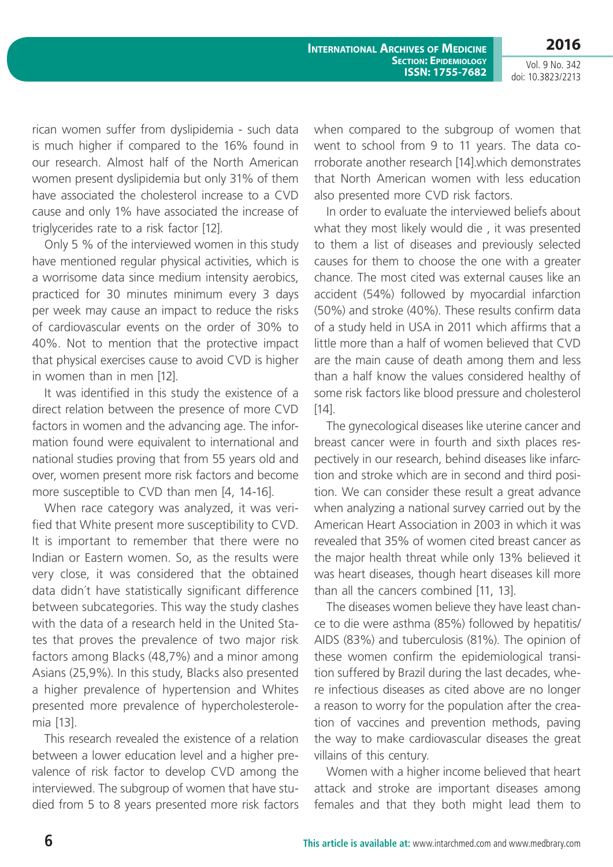**International Archives of Medicine Section: Epidemiology ISSN: 1755-7682**

Vol. 9 No. 342 doi: 10.3823/2213

**2016**

rican women suffer from dyslipidemia - such data is much higher if compared to the 16% found in our research. Almost half of the North American women present dyslipidemia but only 31% of them have associated the cholesterol increase to a CVD cause and only 1% have associated the increase of triglycerides rate to a risk factor [12].

Only 5 % of the interviewed women in this study have mentioned regular physical activities, which is a worrisome data since medium intensity aerobics, practiced for 30 minutes minimum every 3 days per week may cause an impact to reduce the risks of cardiovascular events on the order of 30% to 40%. Not to mention that the protective impact that physical exercises cause to avoid CVD is higher in women than in men [12].

It was identified in this study the existence of a direct relation between the presence of more CVD factors in women and the advancing age. The information found were equivalent to international and national studies proving that from 55 years old and over, women present more risk factors and become more susceptible to CVD than men [4, 14-16].

When race category was analyzed, it was verified that White present more susceptibility to CVD. It is important to remember that there were no Indian or Eastern women. So, as the results were very close, it was considered that the obtained data didn´t have statistically significant difference between subcategories. This way the study clashes with the data of a research held in the United States that proves the prevalence of two major risk factors among Blacks (48,7%) and a minor among Asians (25,9%). In this study, Blacks also presented a higher prevalence of hypertension and Whites presented more prevalence of hypercholesterolemia [13].

This research revealed the existence of a relation between a lower education level and a higher prevalence of risk factor to develop CVD among the interviewed. The subgroup of women that have studied from 5 to 8 years presented more risk factors when compared to the subgroup of women that went to school from 9 to 11 years. The data corroborate another research [14].which demonstrates that North American women with less education also presented more CVD risk factors.

In order to evaluate the interviewed beliefs about what they most likely would die , it was presented to them a list of diseases and previously selected causes for them to choose the one with a greater chance. The most cited was external causes like an accident (54%) followed by myocardial infarction (50%) and stroke (40%). These results confirm data of a study held in USA in 2011 which affirms that a little more than a half of women believed that CVD are the main cause of death among them and less than a half know the values considered healthy of some risk factors like blood pressure and cholesterol  $[14]$ .

The gynecological diseases like uterine cancer and breast cancer were in fourth and sixth places respectively in our research, behind diseases like infarction and stroke which are in second and third position. We can consider these result a great advance when analyzing a national survey carried out by the American Heart Association in 2003 in which it was revealed that 35% of women cited breast cancer as the major health threat while only 13% believed it was heart diseases, though heart diseases kill more than all the cancers combined [11, 13].

The diseases women believe they have least chance to die were asthma (85%) followed by hepatitis/ AIDS (83%) and tuberculosis (81%). The opinion of these women confirm the epidemiological transition suffered by Brazil during the last decades, where infectious diseases as cited above are no longer a reason to worry for the population after the creation of vaccines and prevention methods, paving the way to make cardiovascular diseases the great villains of this century.

Women with a higher income believed that heart attack and stroke are important diseases among females and that they both might lead them to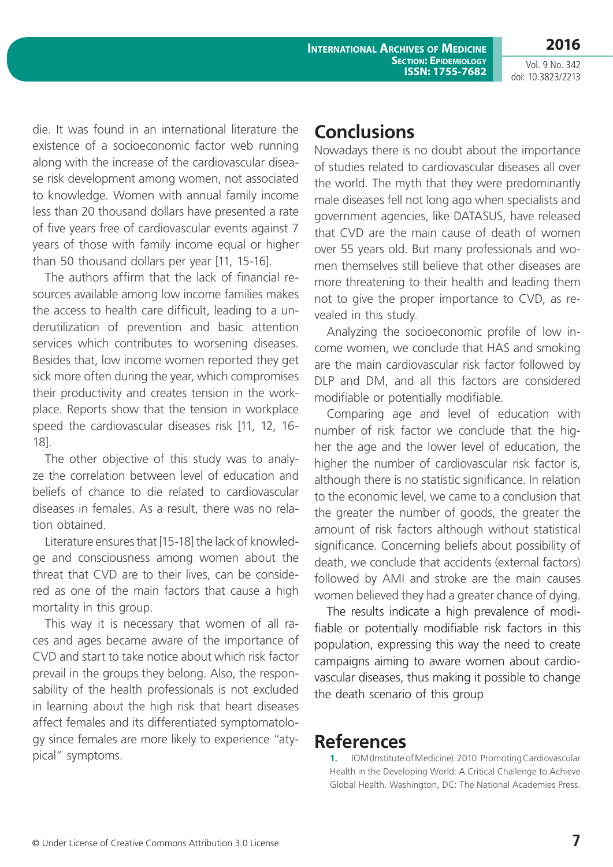die. It was found in an international literature the existence of a socioeconomic factor web running along with the increase of the cardiovascular disease risk development among women, not associated to knowledge. Women with annual family income less than 20 thousand dollars have presented a rate of five years free of cardiovascular events against 7 years of those with family income equal or higher than 50 thousand dollars per year [11, 15-16].

The authors affirm that the lack of financial resources available among low income families makes the access to health care difficult, leading to a underutilization of prevention and basic attention services which contributes to worsening diseases. Besides that, low income women reported they get sick more often during the year, which compromises their productivity and creates tension in the workplace. Reports show that the tension in workplace speed the cardiovascular diseases risk [11, 12, 16- 18].

The other objective of this study was to analyze the correlation between level of education and beliefs of chance to die related to cardiovascular diseases in females. As a result, there was no relation obtained.

Literature ensures that [15-18] the lack of knowledge and consciousness among women about the threat that CVD are to their lives, can be considered as one of the main factors that cause a high mortality in this group.

This way it is necessary that women of all races and ages became aware of the importance of CVD and start to take notice about which risk factor prevail in the groups they belong. Also, the responsability of the health professionals is not excluded in learning about the high risk that heart diseases affect females and its differentiated symptomatology since females are more likely to experience "atypical" symptoms.

### **Conclusions**

Nowadays there is no doubt about the importance of studies related to cardiovascular diseases all over the world. The myth that they were predominantly male diseases fell not long ago when specialists and government agencies, like DATASUS, have released that CVD are the main cause of death of women over 55 years old. But many professionals and women themselves still believe that other diseases are more threatening to their health and leading them not to give the proper importance to CVD, as revealed in this study.

Analyzing the socioeconomic profile of low income women, we conclude that HAS and smoking are the main cardiovascular risk factor followed by DLP and DM, and all this factors are considered modifiable or potentially modifiable.

Comparing age and level of education with number of risk factor we conclude that the higher the age and the lower level of education, the higher the number of cardiovascular risk factor is, although there is no statistic significance. In relation to the economic level, we came to a conclusion that the greater the number of goods, the greater the amount of risk factors although without statistical significance. Concerning beliefs about possibility of death, we conclude that accidents (external factors) followed by AMI and stroke are the main causes women believed they had a greater chance of dying.

The results indicate a high prevalence of modifiable or potentially modifiable risk factors in this population, expressing this way the need to create campaigns aiming to aware women about cardiovascular diseases, thus making it possible to change the death scenario of this group

#### **References**

 **1.** IOM (Institute of Medicine). 2010. Promoting Cardiovascular Health in the Developing World: A Critical Challenge to Achieve Global Health. Washington, DC: The National Academies Press.